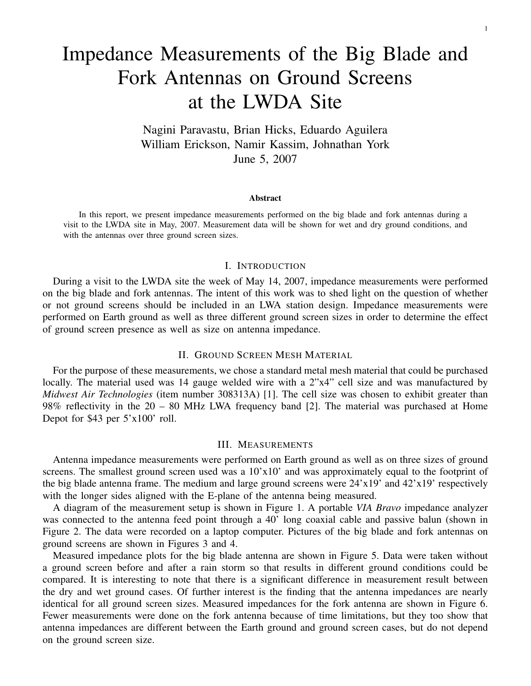# Impedance Measurements of the Big Blade and Fork Antennas on Ground Screens at the LWDA Site

Nagini Paravastu, Brian Hicks, Eduardo Aguilera William Erickson, Namir Kassim, Johnathan York June 5, 2007

#### Abstract

In this report, we present impedance measurements performed on the big blade and fork antennas during a visit to the LWDA site in May, 2007. Measurement data will be shown for wet and dry ground conditions, and with the antennas over three ground screen sizes.

#### I. INTRODUCTION

During a visit to the LWDA site the week of May 14, 2007, impedance measurements were performed on the big blade and fork antennas. The intent of this work was to shed light on the question of whether or not ground screens should be included in an LWA station design. Impedance measurements were performed on Earth ground as well as three different ground screen sizes in order to determine the effect of ground screen presence as well as size on antenna impedance.

## II. GROUND SCREEN MESH MATERIAL

For the purpose of these measurements, we chose a standard metal mesh material that could be purchased locally. The material used was 14 gauge welded wire with a 2"x4" cell size and was manufactured by *Midwest Air Technologies* (item number 308313A) [1]. The cell size was chosen to exhibit greater than 98% reflectivity in the 20 – 80 MHz LWA frequency band [2]. The material was purchased at Home Depot for \$43 per 5'x100' roll.

## III. MEASUREMENTS

Antenna impedance measurements were performed on Earth ground as well as on three sizes of ground screens. The smallest ground screen used was a  $10'x10'$  and was approximately equal to the footprint of the big blade antenna frame. The medium and large ground screens were  $24'x19'$  and  $42'x19'$  respectively with the longer sides aligned with the E-plane of the antenna being measured.

A diagram of the measurement setup is shown in Figure 1. A portable *VIA Bravo* impedance analyzer was connected to the antenna feed point through a 40' long coaxial cable and passive balun (shown in Figure 2. The data were recorded on a laptop computer. Pictures of the big blade and fork antennas on ground screens are shown in Figures 3 and 4.

Measured impedance plots for the big blade antenna are shown in Figure 5. Data were taken without a ground screen before and after a rain storm so that results in different ground conditions could be compared. It is interesting to note that there is a significant difference in measurement result between the dry and wet ground cases. Of further interest is the finding that the antenna impedances are nearly identical for all ground screen sizes. Measured impedances for the fork antenna are shown in Figure 6. Fewer measurements were done on the fork antenna because of time limitations, but they too show that antenna impedances are different between the Earth ground and ground screen cases, but do not depend on the ground screen size.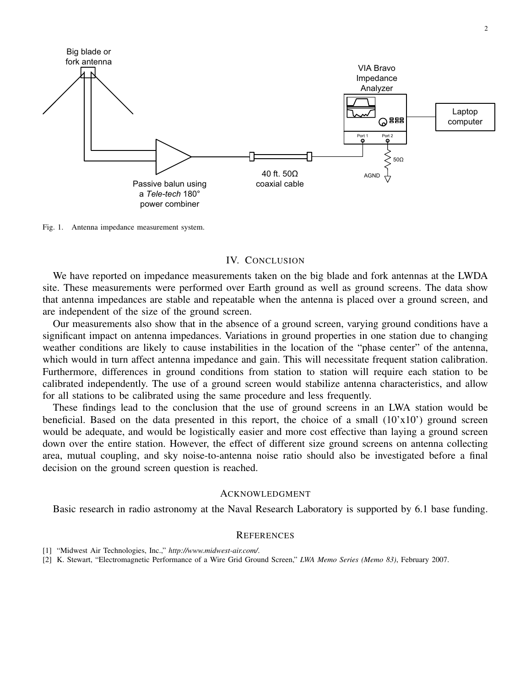

Fig. 1. Antenna impedance measurement system.

### IV. CONCLUSION

We have reported on impedance measurements taken on the big blade and fork antennas at the LWDA site. These measurements were performed over Earth ground as well as ground screens. The data show that antenna impedances are stable and repeatable when the antenna is placed over a ground screen, and are independent of the size of the ground screen.

Our measurements also show that in the absence of a ground screen, varying ground conditions have a significant impact on antenna impedances. Variations in ground properties in one station due to changing weather conditions are likely to cause instabilities in the location of the "phase center" of the antenna, which would in turn affect antenna impedance and gain. This will necessitate frequent station calibration. Furthermore, differences in ground conditions from station to station will require each station to be calibrated independently. The use of a ground screen would stabilize antenna characteristics, and allow for all stations to be calibrated using the same procedure and less frequently.

These findings lead to the conclusion that the use of ground screens in an LWA station would be beneficial. Based on the data presented in this report, the choice of a small  $(10'x10')$  ground screen would be adequate, and would be logistically easier and more cost effective than laying a ground screen down over the entire station. However, the effect of different size ground screens on antenna collecting area, mutual coupling, and sky noise-to-antenna noise ratio should also be investigated before a final decision on the ground screen question is reached.

#### ACKNOWLEDGMENT

Basic research in radio astronomy at the Naval Research Laboratory is supported by 6.1 base funding.

## **REFERENCES**

- [1] "Midwest Air Technologies, Inc.," *http://www.midwest-air.com/*.
- [2] K. Stewart, "Electromagnetic Performance of a Wire Grid Ground Screen," *LWA Memo Series (Memo 83)*, February 2007.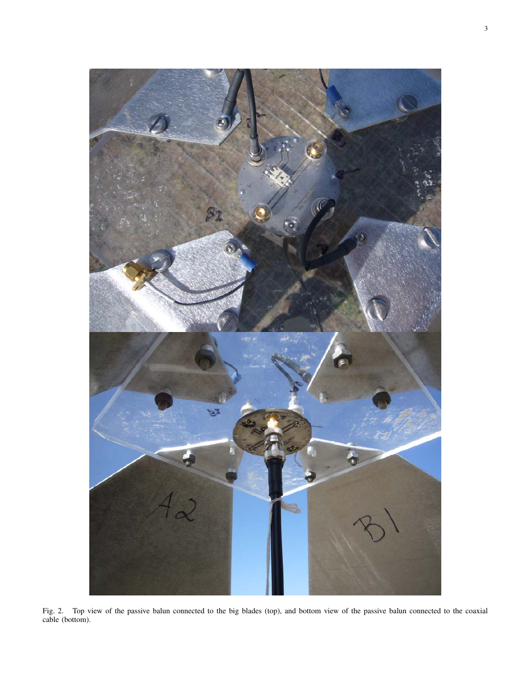

Fig. 2. Top view of the passive balun connected to the big blades (top), and bottom view of the passive balun connected to the coaxial cable (bottom).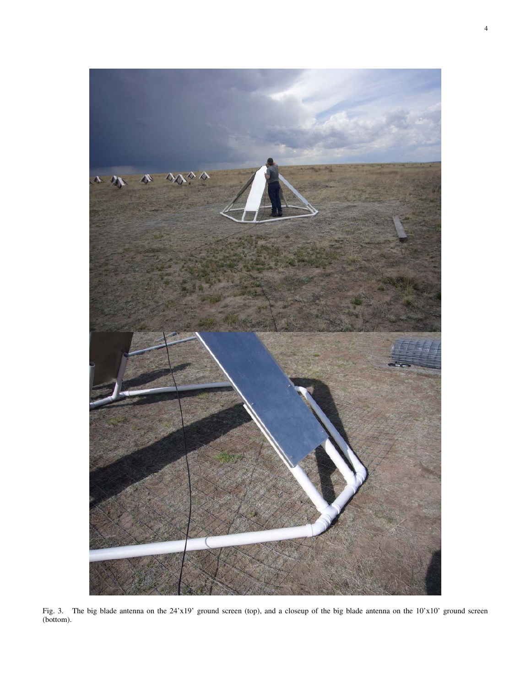

Fig. 3. The big blade antenna on the 24'x19' ground screen (top), and a closeup of the big blade antenna on the 10'x10' ground screen (bottom).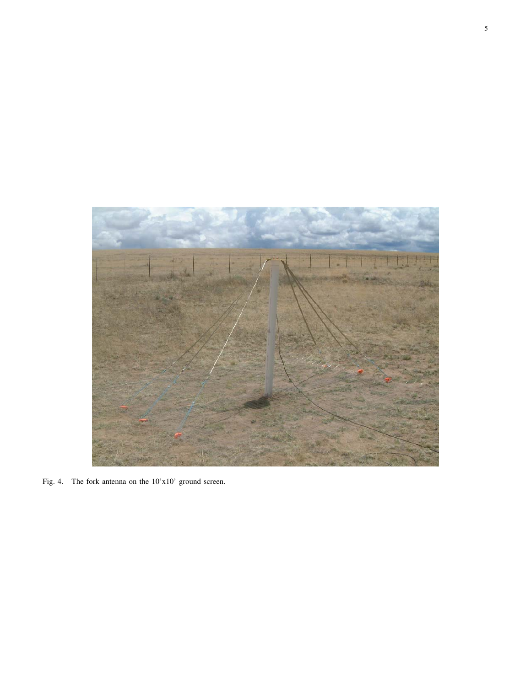

Fig. 4. The fork antenna on the 10'x10' ground screen.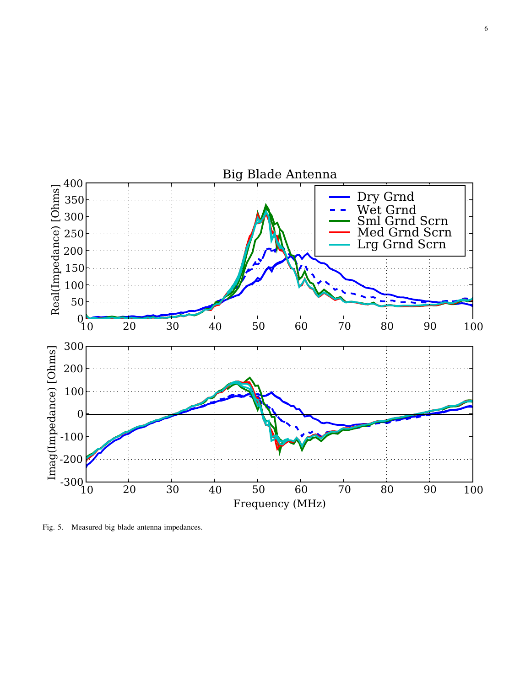

Fig. 5. Measured big blade antenna impedances.